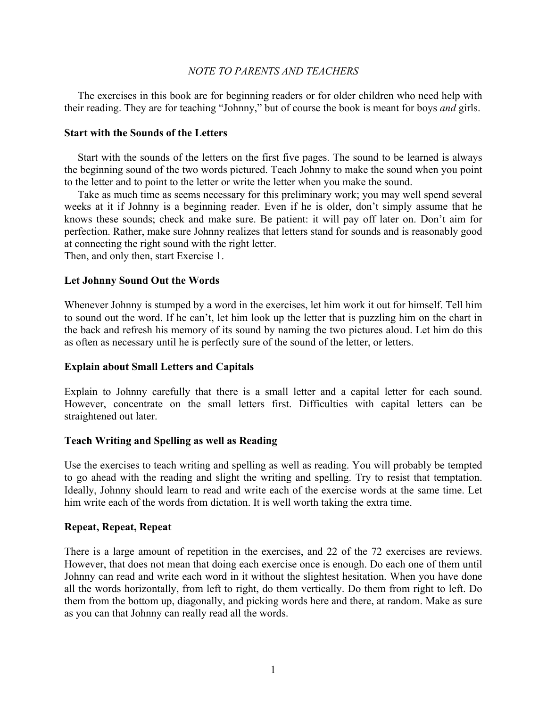## *NOTE TO PARENTS AND TEACHERS*

 The exercises in this book are for beginning readers or for older children who need help with their reading. They are for teaching "Johnny," but of course the book is meant for boys *and* girls.

## **Start with the Sounds of the Letters**

 Start with the sounds of the letters on the first five pages. The sound to be learned is always the beginning sound of the two words pictured. Teach Johnny to make the sound when you point to the letter and to point to the letter or write the letter when you make the sound.

 Take as much time as seems necessary for this preliminary work; you may well spend several weeks at it if Johnny is a beginning reader. Even if he is older, don't simply assume that he knows these sounds; check and make sure. Be patient: it will pay off later on. Don't aim for perfection. Rather, make sure Johnny realizes that letters stand for sounds and is reasonably good at connecting the right sound with the right letter.

Then, and only then, start Exercise 1.

### **Let Johnny Sound Out the Words**

Whenever Johnny is stumped by a word in the exercises, let him work it out for himself. Tell him to sound out the word. If he can't, let him look up the letter that is puzzling him on the chart in the back and refresh his memory of its sound by naming the two pictures aloud. Let him do this as often as necessary until he is perfectly sure of the sound of the letter, or letters.

### **Explain about Small Letters and Capitals**

Explain to Johnny carefully that there is a small letter and a capital letter for each sound. However, concentrate on the small letters first. Difficulties with capital letters can be straightened out later.

### **Teach Writing and Spelling as well as Reading**

Use the exercises to teach writing and spelling as well as reading. You will probably be tempted to go ahead with the reading and slight the writing and spelling. Try to resist that temptation. Ideally, Johnny should learn to read and write each of the exercise words at the same time. Let him write each of the words from dictation. It is well worth taking the extra time.

### **Repeat, Repeat, Repeat**

There is a large amount of repetition in the exercises, and 22 of the 72 exercises are reviews. However, that does not mean that doing each exercise once is enough. Do each one of them until Johnny can read and write each word in it without the slightest hesitation. When you have done all the words horizontally, from left to right, do them vertically. Do them from right to left. Do them from the bottom up, diagonally, and picking words here and there, at random. Make as sure as you can that Johnny can really read all the words.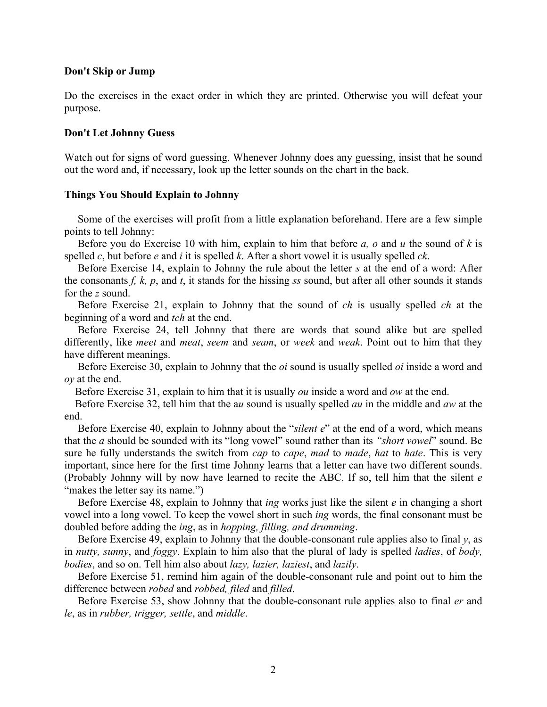## **Don't Skip or Jump**

Do the exercises in the exact order in which they are printed. Otherwise you will defeat your purpose.

## **Don't Let Johnny Guess**

Watch out for signs of word guessing. Whenever Johnny does any guessing, insist that he sound out the word and, if necessary, look up the letter sounds on the chart in the back.

## **Things You Should Explain to Johnny**

 Some of the exercises will profit from a little explanation beforehand. Here are a few simple points to tell Johnny:

 Before you do Exercise 10 with him, explain to him that before *a, o* and *u* the sound of *k* is spelled *c*, but before *e* and *i* it is spelled *k*. After a short vowel it is usually spelled *ck*.

 Before Exercise 14, explain to Johnny the rule about the letter *s* at the end of a word: After the consonants *f, k, p*, and *t*, it stands for the hissing *ss* sound, but after all other sounds it stands for the *z* sound.

 Before Exercise 21, explain to Johnny that the sound of *ch* is usually spelled *ch* at the beginning of a word and *tch* at the end.

 Before Exercise 24, tell Johnny that there are words that sound alike but are spelled differently, like *meet* and *meat*, *seem* and *seam*, or *week* and *weak*. Point out to him that they have different meanings.

 Before Exercise 30, explain to Johnny that the *oi* sound is usually spelled *oi* inside a word and *oy* at the end.

Before Exercise 31, explain to him that it is usually *ou* inside a word and *ow* at the end.

 Before Exercise 32, tell him that the a*u* sound is usually spelled *au* in the middle and *aw* at the end.

 Before Exercise 40, explain to Johnny about the "*silent e*" at the end of a word, which means that the *a* should be sounded with its "long vowel" sound rather than its *"short vowel*" sound. Be sure he fully understands the switch from *cap* to *cape*, *mad* to *made*, *hat* to *hate*. This is very important, since here for the first time Johnny learns that a letter can have two different sounds. (Probably Johnny will by now have learned to recite the ABC. If so, tell him that the silent *e* "makes the letter say its name."

 Before Exercise 48, explain to Johnny that *ing* works just like the silent *e* in changing a short vowel into a long vowel. To keep the vowel short in such *ing* words, the final consonant must be doubled before adding the *ing*, as in *hopping, filling, and drumming*.

Before Exercise 49, explain to Johnny that the double-consonant rule applies also to final  $y$ , as in *nutty, sunny*, and *foggy*. Explain to him also that the plural of lady is spelled *ladies*, of *body, bodies*, and so on. Tell him also about *lazy, lazier, laziest*, and *lazily*.

 Before Exercise 51, remind him again of the double-consonant rule and point out to him the difference between *robed* and *robbed, filed* and *filled*.

 Before Exercise 53, show Johnny that the double-consonant rule applies also to final *er* and *le*, as in *rubber, trigger, settle*, and *middle*.